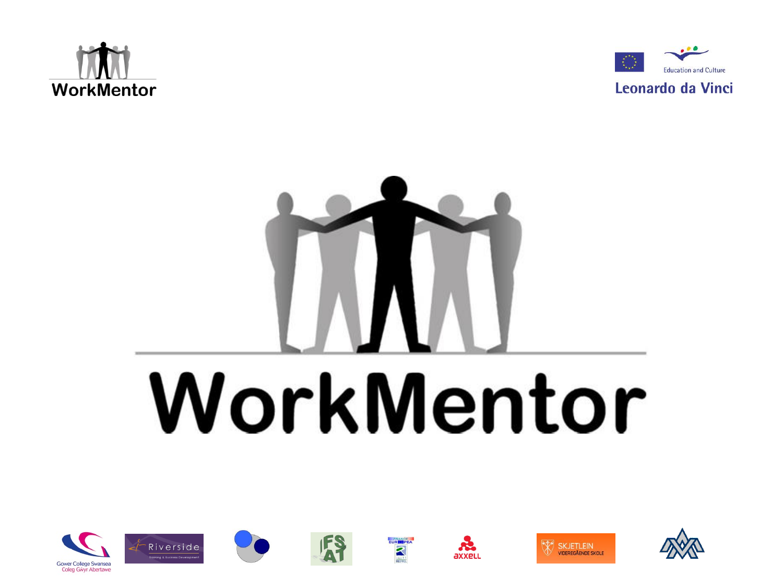



## WorkMentor

EURK PEA

 $\mathbf{r}$ 

axxeu

**WA SKJETLEIN** 

VIDEREGÅENDE SKOLE



Riverside

Training & Business De

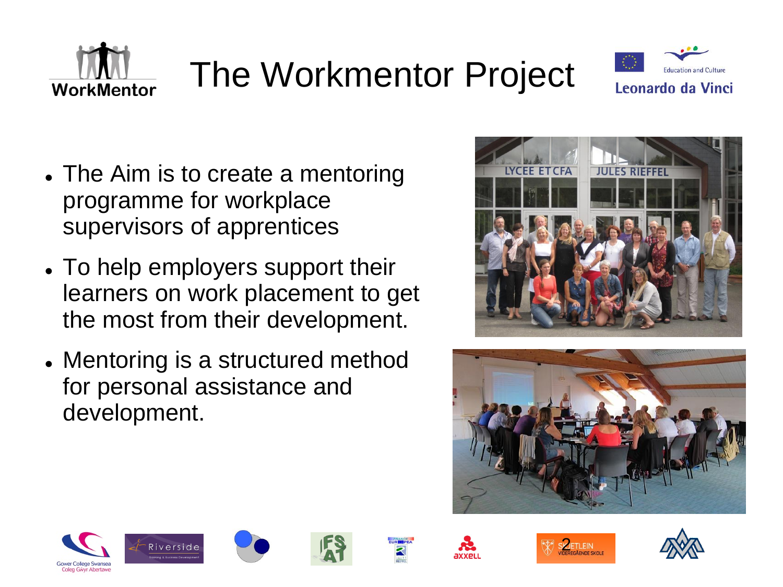



- The Aim is to create a mentoring programme for workplace supervisors of apprentices
- To help employers support their learners on work placement to get the most from their development.
- Mentoring is a structured method for personal assistance and development.







WorkMentor













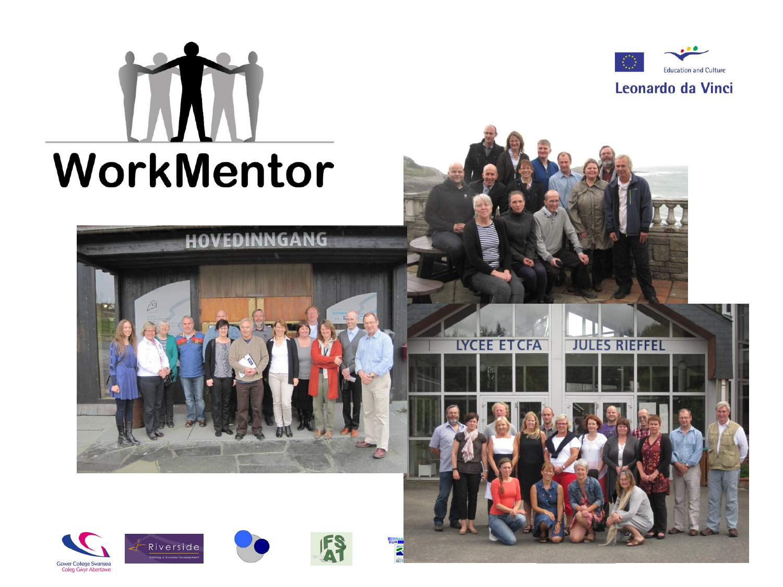

Gower College Swansea Coleg Gŵyr Abertawe



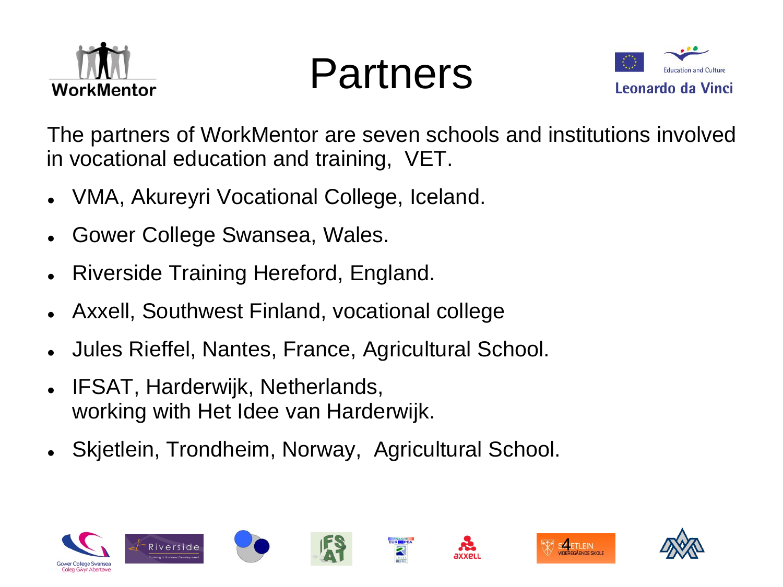

Partners



The partners of WorkMentor are seven schools and institutions involved in vocational education and training, VET.

- VMA, Akureyri Vocational College, Iceland.
- Gower College Swansea, Wales.
- Riverside Training Hereford, England.
- Axxell, Southwest Finland, vocational college
- Jules Rieffel, Nantes, France, Agricultural School.
- IFSAT, Harderwijk, Netherlands, working with Het Idee van Harderwijk.
- Skjetlein, Trondheim, Norway, Agricultural School.













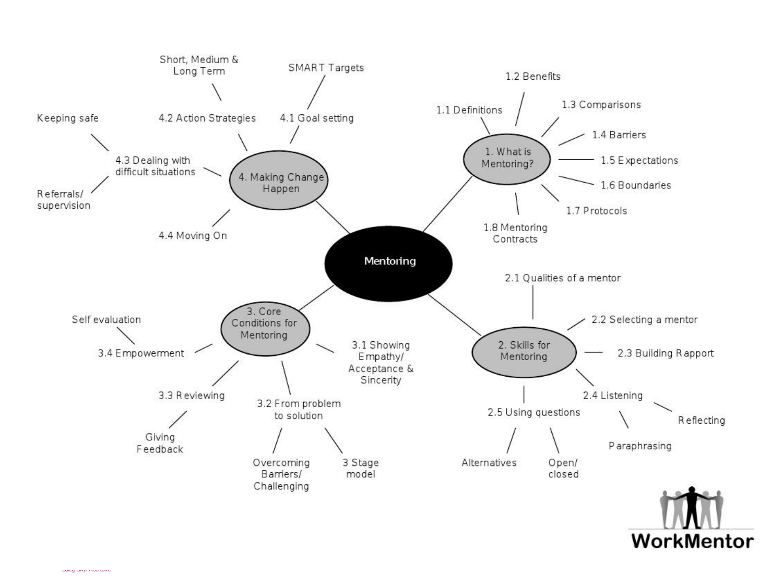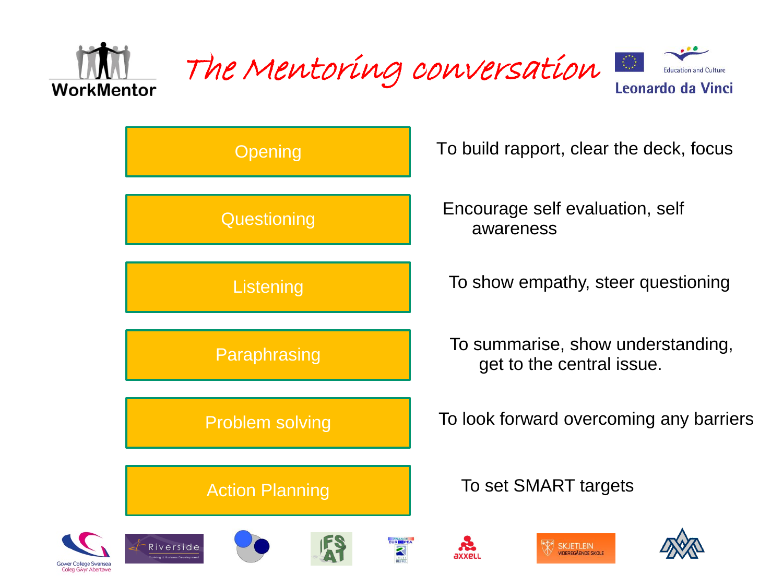

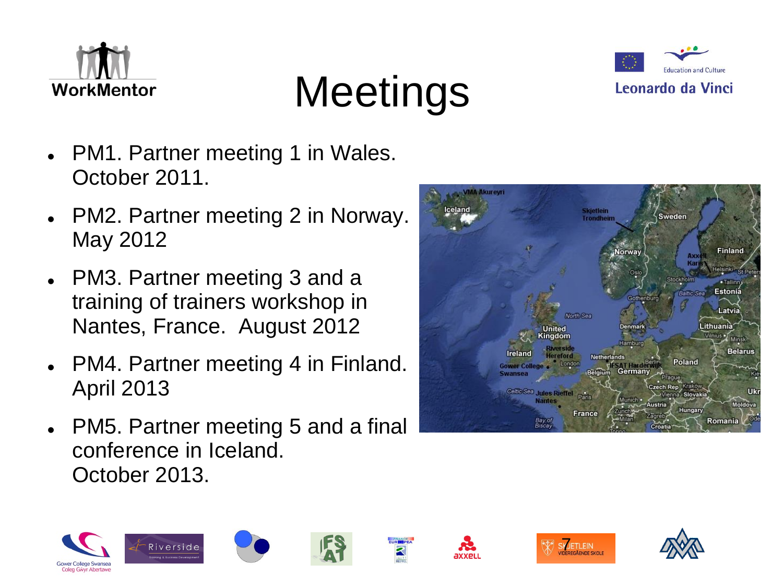





- PM1. Partner meeting 1 in Wales. October 2011.
- PM2. Partner meeting 2 in Norway. May 2012
- PM3. Partner meeting 3 and a training of trainers workshop in Nantes, France. August 2012
- PM4. Partner meeting 4 in Finland. April 2013
- PM5. Partner meeting 5 and a final conference in Iceland. October 2013.

Riverside



**SKJETLEIN**<br>VIDEREGÅENDE SKOLE

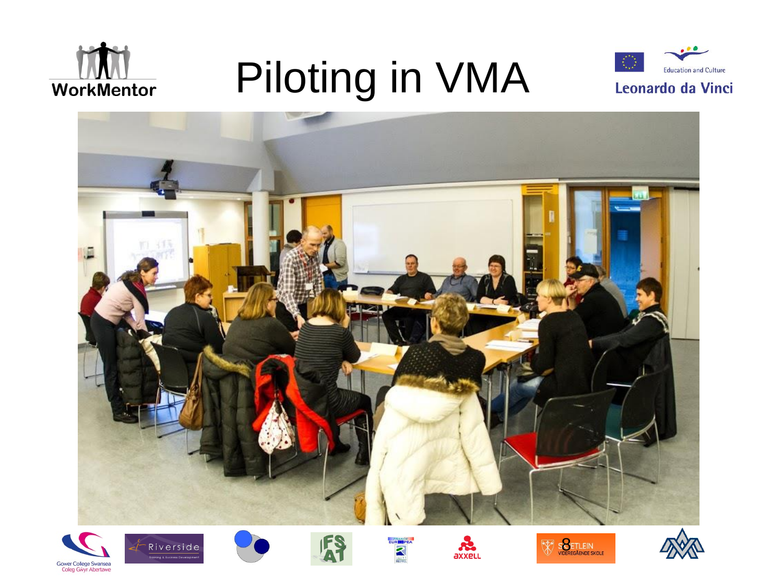

## Piloting in VMA















 $\overline{\mathbb{X}}$